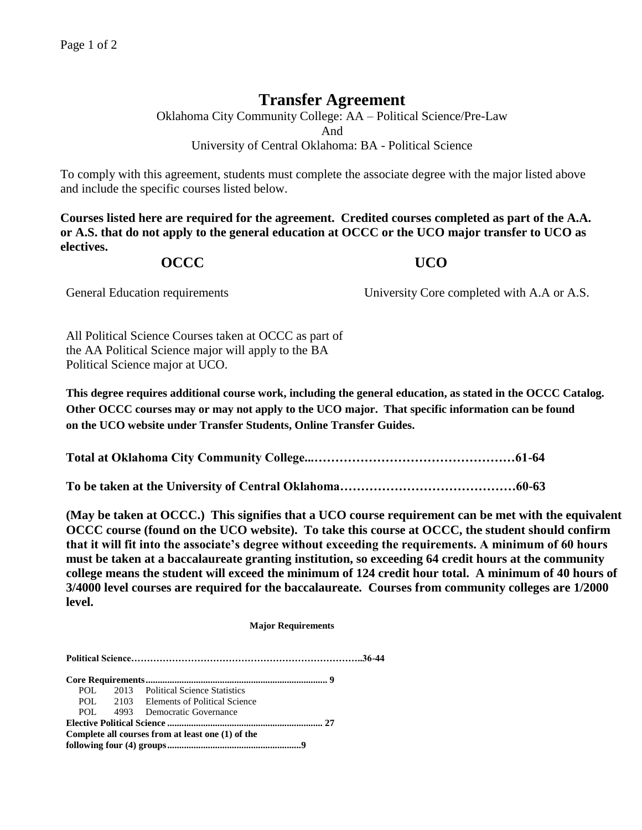# **Transfer Agreement**

Oklahoma City Community College: AA – Political Science/Pre-Law And University of Central Oklahoma: BA - Political Science

To comply with this agreement, students must complete the associate degree with the major listed above and include the specific courses listed below.

**Courses listed here are required for the agreement. Credited courses completed as part of the A.A. or A.S. that do not apply to the general education at OCCC or the UCO major transfer to UCO as electives.**

## **OCCC UCO**

General Education requirements University Core completed with A.A or A.S.

All Political Science Courses taken at OCCC as part of the AA Political Science major will apply to the BA Political Science major at UCO.

**This degree requires additional course work, including the general education, as stated in the OCCC Catalog. Other OCCC courses may or may not apply to the UCO major. That specific information can be found on the UCO website under Transfer Students, Online Transfer Guides.** 

**Total at Oklahoma City Community College...…………………………………………61-64**

**To be taken at the University of Central Oklahoma……………………………………60-63**

**(May be taken at OCCC.) This signifies that a UCO course requirement can be met with the equivalent OCCC course (found on the UCO website). To take this course at OCCC, the student should confirm that it will fit into the associate's degree without exceeding the requirements. A minimum of 60 hours must be taken at a baccalaureate granting institution, so exceeding 64 credit hours at the community college means the student will exceed the minimum of 124 credit hour total. A minimum of 40 hours of 3/4000 level courses are required for the baccalaureate. Courses from community colleges are 1/2000 level.**

 **Major Requirements**

**Political Science………………………………………………………………..36-44**

**Core Requirements............................................................................ 9** POL 2013 Political Science Statistics POL 2103 Elements of Political Science POL 4993 Democratic Governance **Elective Political Science ................................................................. 27 Complete all courses from at least one (1) of the following four (4) groups........................................................9**